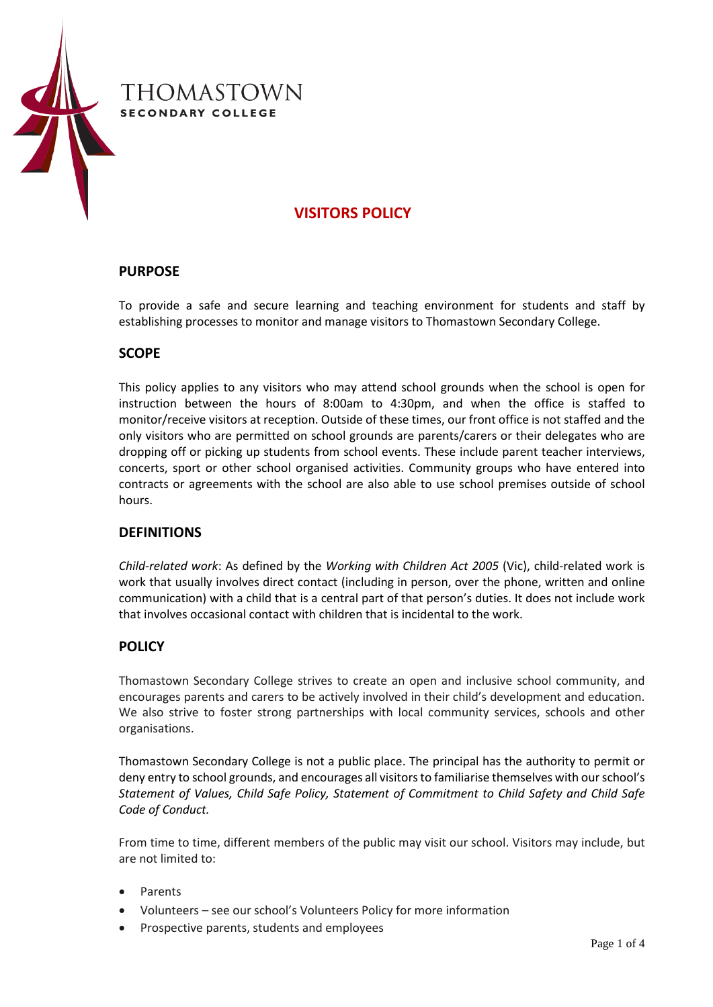

# **VISITORS POLICY**

## **PURPOSE**

To provide a safe and secure learning and teaching environment for students and staff by establishing processes to monitor and manage visitors to Thomastown Secondary College.

## **SCOPE**

This policy applies to any visitors who may attend school grounds when the school is open for instruction between the hours of 8:00am to 4:30pm, and when the office is staffed to monitor/receive visitors at reception. Outside of these times, our front office is not staffed and the only visitors who are permitted on school grounds are parents/carers or their delegates who are dropping off or picking up students from school events. These include parent teacher interviews, concerts, sport or other school organised activities. Community groups who have entered into contracts or agreements with the school are also able to use school premises outside of school hours.

## **DEFINITIONS**

*Child-related work*: As defined by the *Working with Children Act 2005* (Vic), child-related work is work that usually involves direct contact (including in person, over the phone, written and online communication) with a child that is a central part of that person's duties. It does not include work that involves occasional contact with children that is incidental to the work.

## **POLICY**

Thomastown Secondary College strives to create an open and inclusive school community, and encourages parents and carers to be actively involved in their child's development and education. We also strive to foster strong partnerships with local community services, schools and other organisations.

Thomastown Secondary College is not a public place. The principal has the authority to permit or deny entry to school grounds, and encourages all visitors to familiarise themselves with our school's *Statement of Values, Child Safe Policy, Statement of Commitment to Child Safety and Child Safe Code of Conduct.*

From time to time, different members of the public may visit our school. Visitors may include, but are not limited to:

- **Parents**
- Volunteers see our school's Volunteers Policy for more information
- Prospective parents, students and employees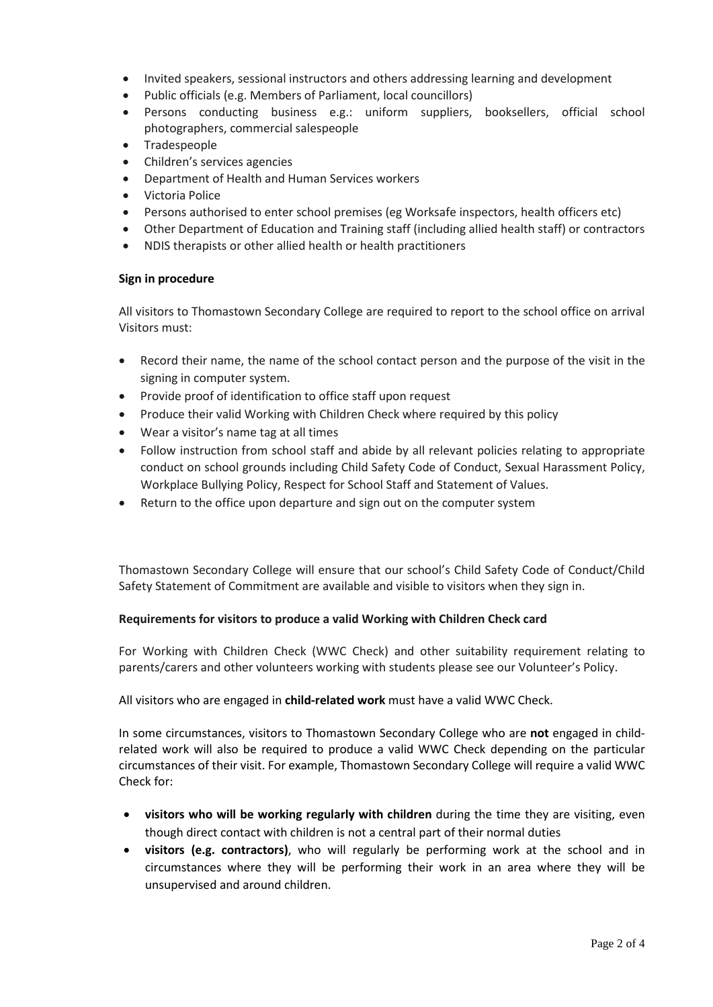- Invited speakers, sessional instructors and others addressing learning and development
- Public officials (e.g. Members of Parliament, local councillors)
- Persons conducting business e.g.: uniform suppliers, booksellers, official school photographers, commercial salespeople
- Tradespeople
- Children's services agencies
- Department of Health and Human Services workers
- Victoria Police
- Persons authorised to enter school premises (eg Worksafe inspectors, health officers etc)
- Other Department of Education and Training staff (including allied health staff) or contractors
- NDIS therapists or other allied health or health practitioners

### **Sign in procedure**

All visitors to Thomastown Secondary College are required to report to the school office on arrival Visitors must:

- Record their name, the name of the school contact person and the purpose of the visit in the signing in computer system.
- Provide proof of identification to office staff upon request
- Produce their valid Working with Children Check where required by this policy
- Wear a visitor's name tag at all times
- Follow instruction from school staff and abide by all relevant policies relating to appropriate conduct on school grounds including Child Safety Code of Conduct, Sexual Harassment Policy, Workplace Bullying Policy, Respect for School Staff and Statement of Values.
- Return to the office upon departure and sign out on the computer system

Thomastown Secondary College will ensure that our school's Child Safety Code of Conduct/Child Safety Statement of Commitment are available and visible to visitors when they sign in.

### **Requirements for visitors to produce a valid Working with Children Check card**

For Working with Children Check (WWC Check) and other suitability requirement relating to parents/carers and other volunteers working with students please see our Volunteer's Policy.

All visitors who are engaged in **child-related work** must have a valid WWC Check.

In some circumstances, visitors to Thomastown Secondary College who are **not** engaged in childrelated work will also be required to produce a valid WWC Check depending on the particular circumstances of their visit. For example, Thomastown Secondary College will require a valid WWC Check for:

- **visitors who will be working regularly with children** during the time they are visiting, even though direct contact with children is not a central part of their normal duties
- **visitors (e.g. contractors)**, who will regularly be performing work at the school and in circumstances where they will be performing their work in an area where they will be unsupervised and around children.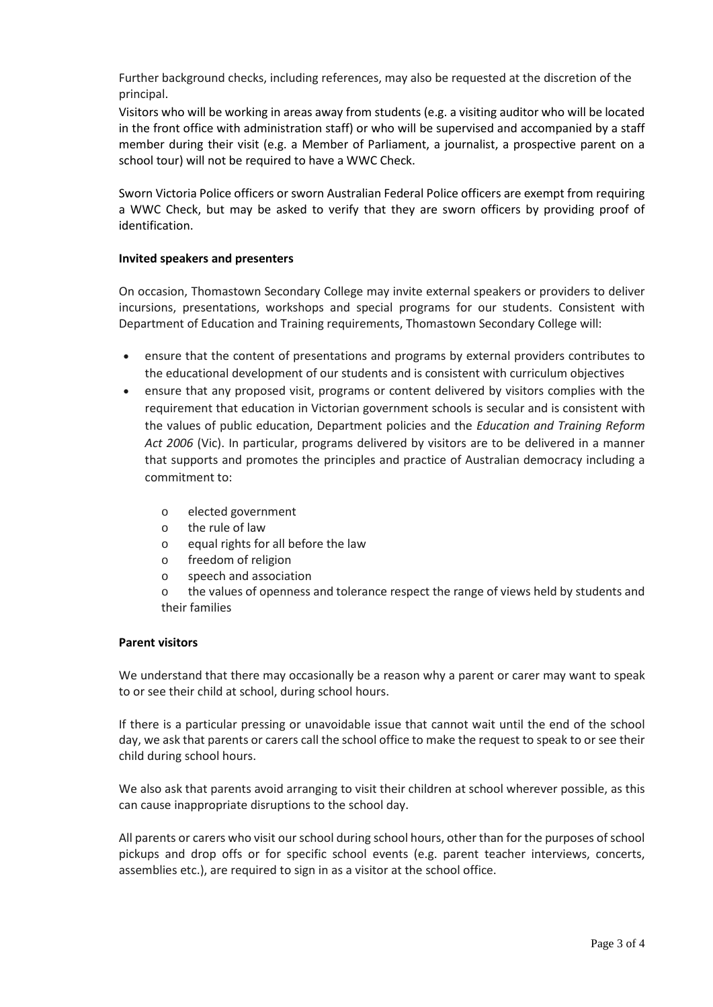Further background checks, including references, may also be requested at the discretion of the principal.

Visitors who will be working in areas away from students (e.g. a visiting auditor who will be located in the front office with administration staff) or who will be supervised and accompanied by a staff member during their visit (e.g. a Member of Parliament, a journalist, a prospective parent on a school tour) will not be required to have a WWC Check.

Sworn Victoria Police officers or sworn Australian Federal Police officers are exempt from requiring a WWC Check, but may be asked to verify that they are sworn officers by providing proof of identification.

### **Invited speakers and presenters**

On occasion, Thomastown Secondary College may invite external speakers or providers to deliver incursions, presentations, workshops and special programs for our students. Consistent with Department of Education and Training requirements, Thomastown Secondary College will:

- ensure that the content of presentations and programs by external providers contributes to the educational development of our students and is consistent with curriculum objectives
- ensure that any proposed visit, programs or content delivered by visitors complies with the requirement that education in Victorian government schools is secular and is consistent with the values of public education, Department policies and the *Education and Training Reform Act 2006* (Vic). In particular, programs delivered by visitors are to be delivered in a manner that supports and promotes the principles and practice of Australian democracy including a commitment to:
	- o elected government
	- o the rule of law
	- o equal rights for all before the law
	- o freedom of religion
	- o speech and association

o the values of openness and tolerance respect the range of views held by students and their families

#### **Parent visitors**

We understand that there may occasionally be a reason why a parent or carer may want to speak to or see their child at school, during school hours.

If there is a particular pressing or unavoidable issue that cannot wait until the end of the school day, we ask that parents or carers call the school office to make the request to speak to or see their child during school hours.

We also ask that parents avoid arranging to visit their children at school wherever possible, as this can cause inappropriate disruptions to the school day.

All parents or carers who visit our school during school hours, other than for the purposes of school pickups and drop offs or for specific school events (e.g. parent teacher interviews, concerts, assemblies etc.), are required to sign in as a visitor at the school office.